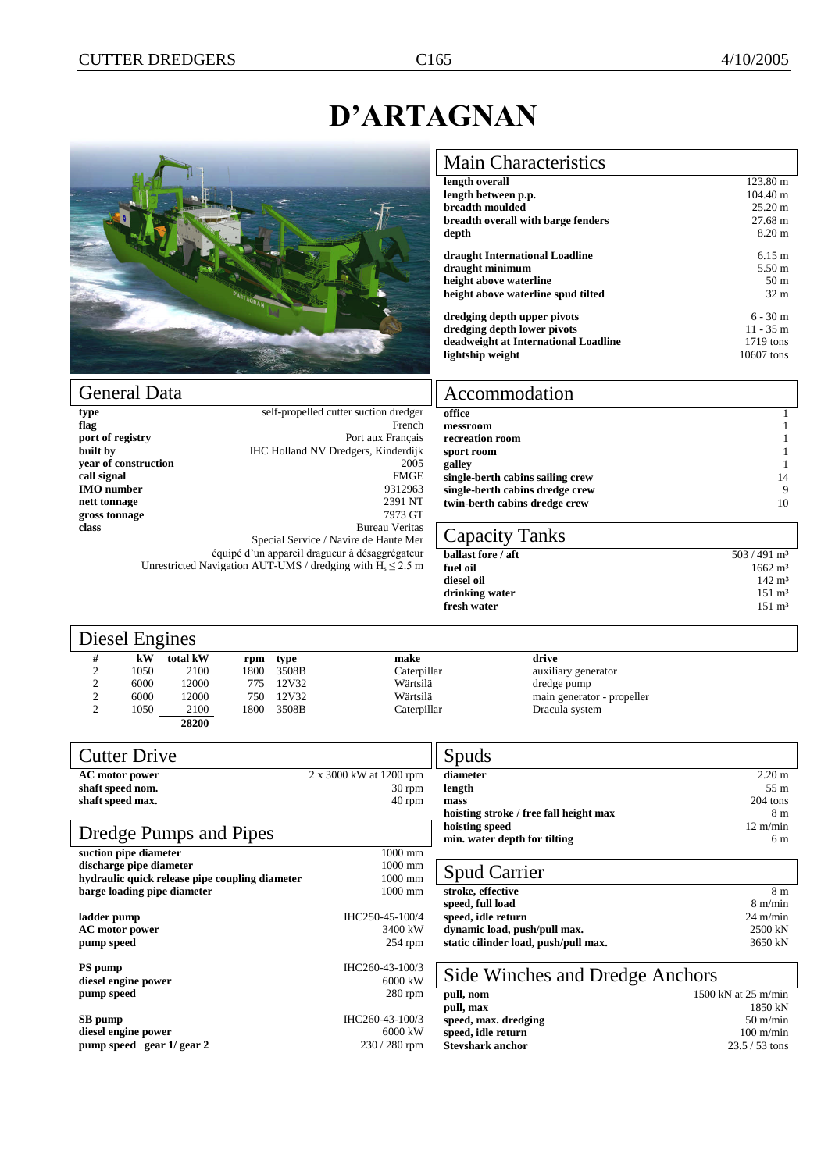1662 m<sup>3</sup><br>
142 m<sup>3</sup>

## **D'ARTAGNAN**

Accommodation

Capacity Tanks

messroom

fresh water



| <b>Main Characteristics</b>          |                    |
|--------------------------------------|--------------------|
| length overall                       | $123.80 \text{ m}$ |
| length between p.p.                  | $104.40 \text{ m}$ |
| breadth moulded                      | $25.20 \text{ m}$  |
| breadth overall with barge fenders   | 27.68 m            |
| depth                                | $8.20 \text{ m}$   |
| draught International Loadline       | $6.15 \text{ m}$   |
| draught minimum                      | $5.50 \text{ m}$   |
| height above waterline               | 50 <sub>m</sub>    |
| height above waterline spud tilted   | 32 <sub>m</sub>    |
| dredging depth upper pivots          | $6 - 30$ m         |
| dredging depth lower pivots          | $11 - 35$ m        |
| deadweight at International Loadline | $1719$ tons        |
| lightship weight                     | 10607 tons         |

**office** 1

**recreation room** 1 **sport room** 1<br>**galley** 1 **galley** 1 **single-berth cabins sailing crew** 14 **single-berth cabins dredge crew** 9 **twin-berth cabins dredge crew** 10

**ballast fore / aft** 503 / 491 m<sup>3</sup><br>**fuel oil** 1662 m<sup>3</sup>

**diesel oil** 142 m<sup>3</sup><br>**drinking water** 151 m<sup>3</sup> **drinking water** 151 m<sup>3</sup><br>**fresh water** 151 m<sup>3</sup>

| type                                           | self-propelled cutter suction dredger                           |
|------------------------------------------------|-----------------------------------------------------------------|
| flag                                           | French                                                          |
| port of registry                               | Port aux Français                                               |
| built by                                       | IHC Holland NV Dredgers, Kinderdijk                             |
| year of construction                           | 2005                                                            |
| call signal                                    | <b>FMGE</b>                                                     |
| IMO number                                     | 9312963                                                         |
| nett tonnage                                   | 2391 NT                                                         |
| gross tonnage                                  | 7973 GT                                                         |
| class                                          | <b>Bureau Veritas</b>                                           |
|                                                | Special Service / Navire de Haute Mer                           |
| équipé d'un appareil dragueur à désaggrégateur |                                                                 |
|                                                | Unrestricted Navigation AUT-UMS / dredging with $H_s \le 2.5$ m |

## Diesel Engines

| $201001$ minimizes |      |          |      |       |             |        |
|--------------------|------|----------|------|-------|-------------|--------|
| #                  | kW   | total kW | rpm  | type  | make        | drive  |
| 2                  | 1050 | 2100     | 1800 | 3508B | Caterpillar | auxili |
| $\mathcal{D}$<br>∠ | 6000 | 12000    | 775  | 12V32 | Wärtsilä    | dredg  |
| 2                  | 6000 | 12000    | 750  | 12V32 | Wärtsilä    | main   |
| 2                  | 1050 | 2100     | 1800 | 3508B | Caterpillar | Dracu  |
|                    |      | 28200    |      |       |             |        |

2 1050 2100 1800 3508B Caterpillar auxiliary generator 2 6000 12000 775 12V32 Wärtsilä dredge pump main generator - propeller Caterpillar Dracula system

| <b>Cutter Drive</b>                            |                         | Spuds                                  |                               |
|------------------------------------------------|-------------------------|----------------------------------------|-------------------------------|
| AC motor power                                 | 2 x 3000 kW at 1200 rpm | diameter                               | $2.20 \text{ m}$              |
| shaft speed nom.                               | $30$ rpm                | length                                 | 55 <sub>m</sub>               |
| shaft speed max.                               | $40$ rpm                | mass                                   | 204 tons                      |
|                                                |                         | hoisting stroke / free fall height max | 8 <sub>m</sub>                |
|                                                |                         | hoisting speed                         | $12 \text{ m/min}$            |
| Dredge Pumps and Pipes                         |                         | min. water depth for tilting           | 6 m                           |
| suction pipe diameter                          | $1000$ mm               |                                        |                               |
| discharge pipe diameter                        | 1000 mm                 |                                        |                               |
| hydraulic quick release pipe coupling diameter | 1000 mm                 | <b>Spud Carrier</b>                    |                               |
| barge loading pipe diameter                    | $1000$ mm               | stroke, effective                      | 8 <sub>m</sub>                |
|                                                |                         | speed, full load                       | $8 \text{ m/min}$             |
| ladder pump                                    | IHC250-45-100/4         | speed, idle return                     | $24 \text{ m/min}$            |
| AC motor power                                 | 3400 kW                 | dynamic load, push/pull max.           | 2500 kN                       |
| pump speed                                     | $254$ rpm               | static cilinder load, push/pull max.   | 3650 kN                       |
|                                                |                         |                                        |                               |
| PS pump                                        | IHC260-43-100/3         | Side Winches and Dredge Anchors        |                               |
| diesel engine power                            | 6000 kW                 |                                        |                               |
| pump speed                                     | $280$ rpm               | pull, nom                              | 1500 kN at $25 \text{ m/min}$ |
|                                                |                         | pull, max                              | 1850 kN                       |
| SB pump                                        | IHC260-43-100/3         | speed, max. dredging                   | $50 \text{ m/min}$            |
| diesel engine power                            | 6000 kW                 | speed, idle return                     | $100 \text{ m/min}$           |
| pump speed gear 1/ gear 2                      | $230/280$ rpm           | <b>Stevshark anchor</b>                | $23.5 / 53$ tons              |